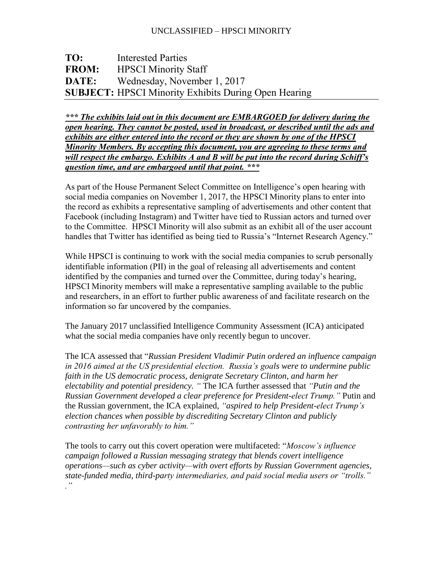## UNCLASSIFIED – HPSCI MINORITY

# **TO:** Interested Parties **FROM:** HPSCI Minority Staff **DATE:** Wednesday, November 1, 2017 **SUBJECT:** HPSCI Minority Exhibits During Open Hearing

*\*\*\* The exhibits laid out in this document are EMBARGOED for delivery during the open hearing. They cannot be posted, used in broadcast, or described until the ads and exhibits are either entered into the record or they are shown by one of the HPSCI Minority Members. By accepting this document, you are agreeing to these terms and will respect the embargo. Exhibits A and B will be put into the record during Schiff's question time, and are embargoed until that point. \*\*\**

As part of the House Permanent Select Committee on Intelligence's open hearing with social media companies on November 1, 2017, the HPSCI Minority plans to enter into the record as exhibits a representative sampling of advertisements and other content that Facebook (including Instagram) and Twitter have tied to Russian actors and turned over to the Committee. HPSCI Minority will also submit as an exhibit all of the user account handles that Twitter has identified as being tied to Russia's "Internet Research Agency."

While HPSCI is continuing to work with the social media companies to scrub personally identifiable information (PII) in the goal of releasing all advertisements and content identified by the companies and turned over the Committee, during today's hearing, HPSCI Minority members will make a representative sampling available to the public and researchers, in an effort to further public awareness of and facilitate research on the information so far uncovered by the companies.

The January 2017 unclassified Intelligence Community Assessment (ICA) anticipated what the social media companies have only recently begun to uncover.

The ICA assessed that "*Russian President Vladimir Putin ordered an influence campaign in 2016 aimed at the US presidential election. Russia's goals were to undermine public faith in the US democratic process, denigrate Secretary Clinton, and harm her electability and potential presidency. "* The ICA further assessed that *"Putin and the Russian Government developed a clear preference for President-elect Trump."* Putin and the Russian government, the ICA explained, *"aspired to help President-elect Trump's election chances when possible by discrediting Secretary Clinton and publicly contrasting her unfavorably to him."*

The tools to carry out this covert operation were multifaceted: "*Moscow's influence campaign followed a Russian messaging strategy that blends covert intelligence operations—such as cyber activity—with overt efforts by Russian Government agencies, state-funded media, third-party intermediaries, and paid social media users or "trolls." ."*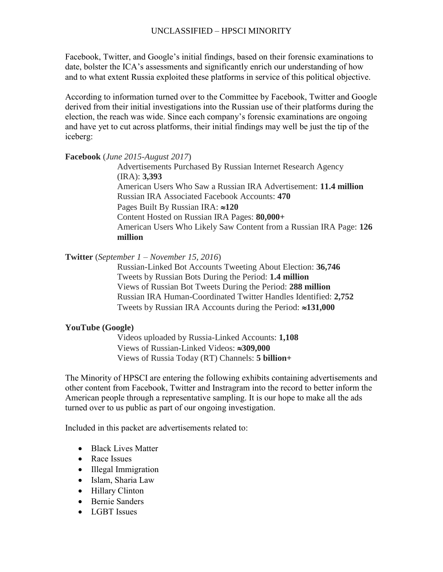### UNCLASSIFIED – HPSCI MINORITY

Facebook, Twitter, and Google's initial findings, based on their forensic examinations to date, bolster the ICA's assessments and significantly enrich our understanding of how and to what extent Russia exploited these platforms in service of this political objective.

According to information turned over to the Committee by Facebook, Twitter and Google derived from their initial investigations into the Russian use of their platforms during the election, the reach was wide. Since each company's forensic examinations are ongoing and have yet to cut across platforms, their initial findings may well be just the tip of the iceberg:

#### **Facebook** (*June 2015-August 2017*)

Advertisements Purchased By Russian Internet Research Agency (IRA): **3,393** American Users Who Saw a Russian IRA Advertisement: **11.4 million** Russian IRA Associated Facebook Accounts: **470** Pages Built By Russian IRA: ≈120 Content Hosted on Russian IRA Pages: **80,000+** American Users Who Likely Saw Content from a Russian IRA Page: **126 million**

#### **Twitter** (*September 1 – November 15, 2016*)

Russian-Linked Bot Accounts Tweeting About Election: **36,746** Tweets by Russian Bots During the Period: **1.4 million** Views of Russian Bot Tweets During the Period: **288 million** Russian IRA Human-Coordinated Twitter Handles Identified: **2,752** Tweets by Russian IRA Accounts during the Period: **≈131,000** 

#### **YouTube (Google)**

Videos uploaded by Russia-Linked Accounts: **1,108** Views of Russian-Linked Videos: **309,000** Views of Russia Today (RT) Channels: **5 billion+**

The Minority of HPSCI are entering the following exhibits containing advertisements and other content from Facebook, Twitter and Instragram into the record to better inform the American people through a representative sampling. It is our hope to make all the ads turned over to us public as part of our ongoing investigation.

Included in this packet are advertisements related to:

- Black Lives Matter
- Race Issues
- Illegal Immigration
- Islam, Sharia Law
- Hillary Clinton
- Bernie Sanders
- LGBT Issues